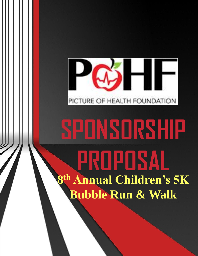

# **SPONSORSHIP PROPOSAL 8 th Annual Children's 5K Bubble Run & Walk**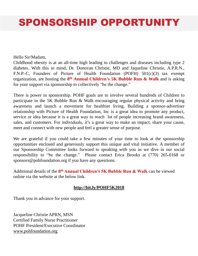# SPONSORSHIP OPPORTUNITY

Hello Sir/Madam,

Childhood obesity is at an all-time high leading to challenges and diseases including type 2 diabetes. With this in mind, Dr. Donovan Christie, MD and Jaqueline Christie, A.P.R.N., F.N.P.-C, Founders of Picture of Health Foundation (POFH) 501(c)(3) tax exempt organization, are hosting the **8 th Annual Children's 5K Bubble Run & Walk** and is asking for your support via sponsorship to collectively "be the change."

There is power in sponsorship. POHF goals are to involve several hundreds of Children to participate in the 5K Bubble Run & Walk encouraging regular physical activity and bring awareness and launch a movement for healthier living. Building a sponsor-advertiser relationship with Picture of Health Foundation, Inc is a great idea to promote any product, service or idea because it is a great way to reach lot of people increasing brand awareness, sales, and customers. For individuals, it's a great way to make an impact, share your cause, meet and connect with new people and feel a greater sense of purpose.

We are grateful if you could take a few minutes of your time to look at the sponsorship opportunities enclosed and generously support this unique and vital initiative. A member of our Sponsorship Committee looks forward to speaking with you as we dive in our social responsibility to "be the change." Please contact Erica Brooks at (770) 265-0168 or sponsors@pohfoundation.org if you have any questions.

Additional details of the **8 th Annual Children's 5K Bubble Run & Walk** can be viewed online via the website at the below link.

#### **<http://bit.ly/POHF5K2018>**

Thank you in advance for your support.

Jacqueline Christie APRN, MSN Certified Family Nurse Practitioner POHF President/Executive Coordinator [www.pohfoundation.org](https://nam01.safelinks.protection.outlook.com/?url=http://www.pohfoundation.org&data=02|01||d782b04e27664070427408d5f6dfe8a1|84df9e7fe9f640afb435aaaaaaaaaaaa|1|0|636686363993262376&sdata=2l1SOIWd92zoy8ZG/b6UNOuNoe70VgcrSjL4nnonVdU%3D&reserved=0)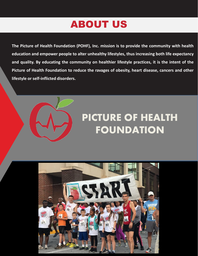# ABOUT US

**The Picture of Health Foundation (POHF), Inc. mission is to provide the community with health education and empower people to alter unhealthy lifestyles, thus increasing both life expectancy and quality. By educating the community on healthier lifestyle practices, it is the intent of the Picture of Health Foundation to reduce the ravages of obesity, heart disease, cancers and other lifestyle or self-inflicted disorders.**



# PICTURE OF HEALTH FOUNDATION

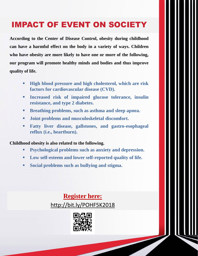## IMPACT OF EVENT ON SOCIETY IMPACT OF EVENT ON SOCIETY

**According to the Center of Disease Control, obesity during childhood can have a harmful effect on the body in a variety of ways. Children who have obesity are more likely to have one or more of the following, our program will promote healthy minds and bodies and thus improve quality of life.**

- **High blood pressure and high cholesterol, which are risk factors for cardiovascular disease (CVD).**
- **Increased risk of impaired glucose tolerance, insulin resistance, and type 2 diabetes.**
- **Breathing problems, such as asthma and sleep apnea.**
- **Joint problems and musculoskeletal discomfort.**
- **Fatty liver disease, gallstones, and gastro-esophageal reflux (i.e., heartburn).**

#### **Childhood obesity is also related to the following.**

- **Psychological problems such as anxiety and depression.**
- **Low self-esteem and lower self-reported quality of life.**
- **Social problems such as bullying and stigma.**

**Register here:**  <http://bit.ly/POHF5K2018>

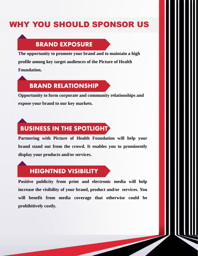### WHY YOU SHOULD SPONSOR US

#### **BRAND EXPOSURE**

**The opportunity to promote your brand and to maintain a high profile among key target audiences of the Picture of Health Foundation.**

#### **BRAND RELATIONSHIP**

**Opportunity to form corporate and community relationships and expose your brand to our key markets.**

## **BUSINESS IN THE SPOTLIGHT**

**Partnering with Picture of Health Foundation will help your brand stand out from the crowd. It enables you to prominently display your products and/or services.**

#### **HEIGNTNED VISIBILITY**

**Positive publicity from print and electronic media will help increase the visibility of your brand, product and/or services. You will benefit from media coverage that otherwise could be prohibitively costly.**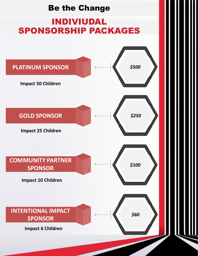